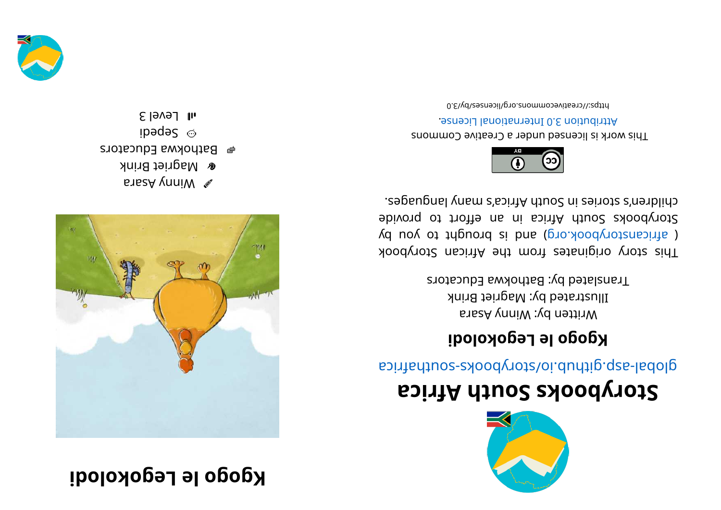## **kgogo le Legokolodi**



aresA ynniW **&** Magriet Brink  $\bullet$  Bathokwa Educators ibede $S$   $\odot$  $s$ l Level 3



## **storybooks South Africa**

aci ri re abolytica predictions and the signified

## **i dol okogeL el ogogK**

Written by: Winny Asara Illustrated by: Magriet Brink Translated by: Bathokwa Educators

This story originates from the African Storybook ye use of the solve of the puor signal parameter of a parameter of  $\alpha$  parameter  $\beta$ Storybooks South Africa in an effort to provide chilen's sional yang mahalika mahalika mahalika seba



This work is licensed under a Creative Commons . esnecial lanoit anternational License. 0. E\\d\zestivecommons.org/licensestby/3.0

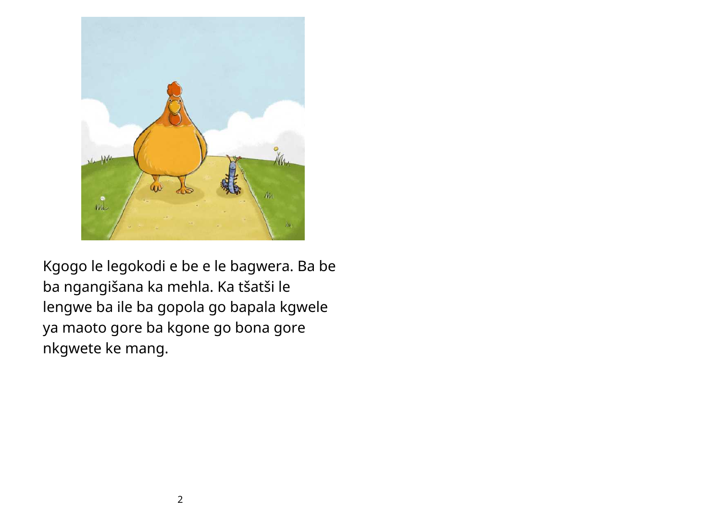

Kgogo le legokodi e be e le bagwera. Ba be ba ngangišana ka mehla. Ka tšatši le lengwe ba ile ba gopola go bapala kgwele ya maoto gore ba kgone go bona gore nkgwete ke mang.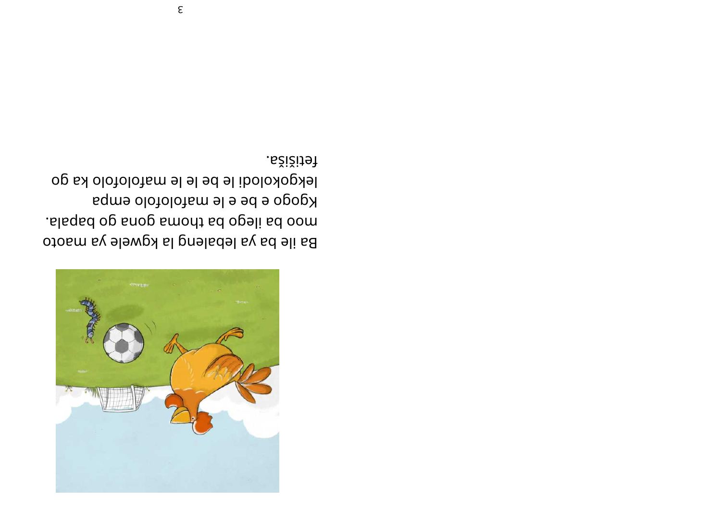

fetišiža. lekgokolodi le be le le mafolofolo ka go Kgogo e be e le mafolofolo empa . slaged op snop smont sd opali sd oom Ba ile ba ya lebaleng la kgwele ya maoto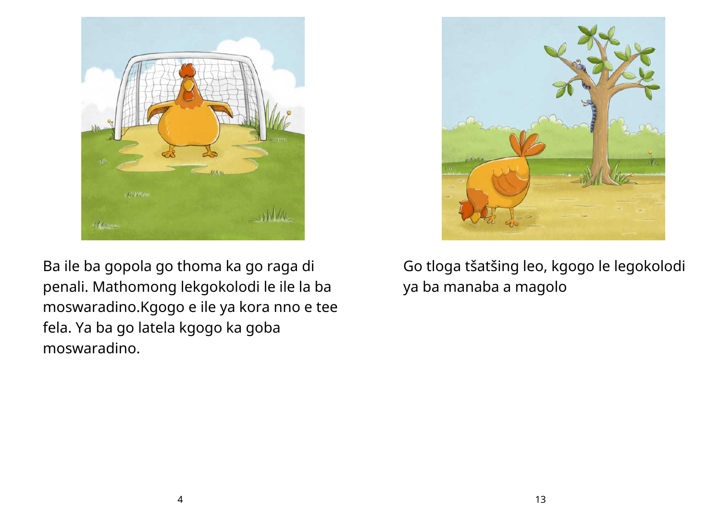

Ba ile ba gopola go thoma ka go raga di penali. Mathomong lekgokolodi le ile la ba moswaradino.Kgogo e ile ya kora nno e tee fela. Ya ba go latela kgogo ka goba moswaradino.



Go tloga tšatšing leo, kgogo le legokolodi ya ba manaba a magolo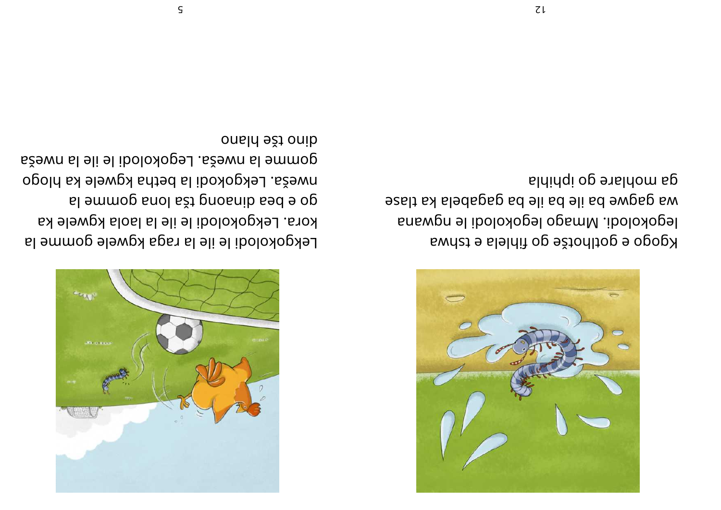Kgogo e gotlhotše go fihlela e tshwa legokolodi. Mmago legokolodi le ngwana wa gagwe ba ile ba ile pa gagabela ka tlase al Hi population and the population



Lekgokolodi le ile la raga kgwele gomme la kora. Lekgokolodi le ile la laola kgwele ka gl e bea qinaong tša long gomme la opoln skele la betha kgwele ka hlogo gomme la nweša. Legokolodi le ile la nweša onald ešt onib

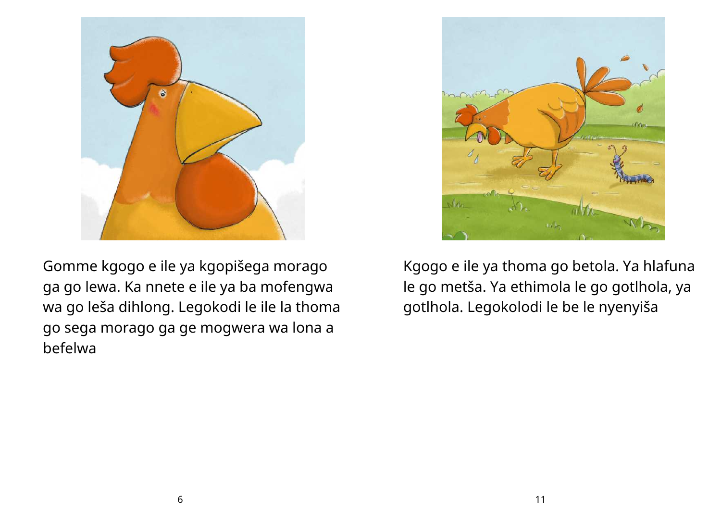

Gomme kgogo e ile ya kgopišega morago ga go lewa. Ka nnete e ile ya ba mofengwa wa go leša dihlong. Legokodi le ile la thoma go sega morago ga ge mogwera wa lona a befelwa



Kgogo e ile ya thoma go betola. Ya hlafuna le go metša. Ya ethimola le go gotlhola, ya gotlhola. Legokolodi le be le nyenyiša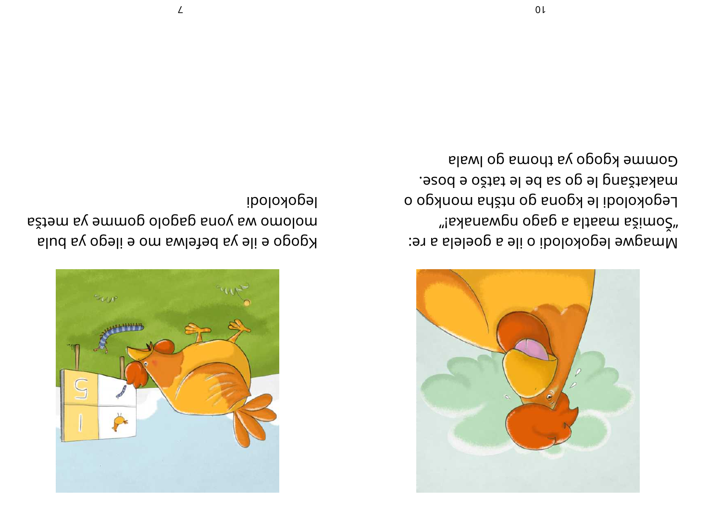Gomme kgogo ya thoma go lwala esod e ožisi el ed sa be le tatšo e bose. Legokolodi le kgona go ntšha monkgo o "is anongo opsp s slissm sžimož" Mmagwe legokolodi o ile a goelela a re:



## legokolodi

molomo wa yona gagolo gomme ya metša Kgogo e ile ya befelwa mo e ilego ya bula